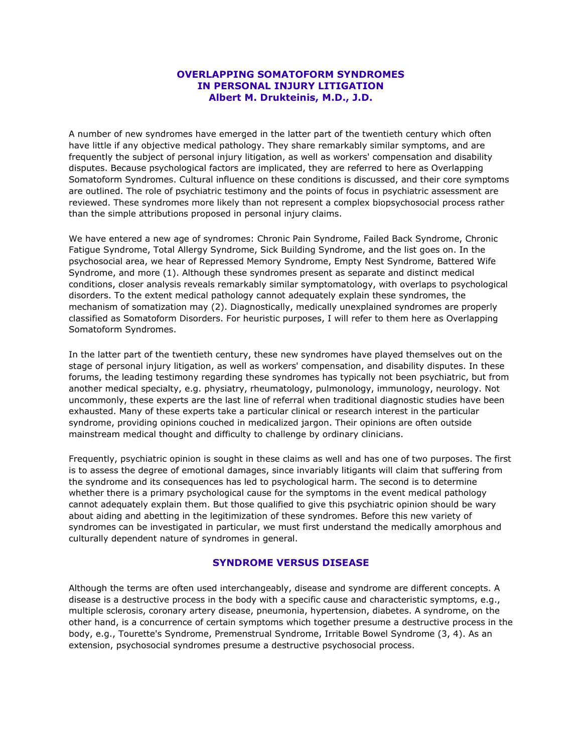# **OVERLAPPING SOMATOFORM SYNDROMES IN PERSONAL INJURY LITIGATION Albert M. Drukteinis, M.D., J.D.**

A number of new syndromes have emerged in the latter part of the twentieth century which often have little if any objective medical pathology. They share remarkably similar symptoms, and are frequently the subject of personal injury litigation, as well as workers' compensation and disability disputes. Because psychological factors are implicated, they are referred to here as Overlapping Somatoform Syndromes. Cultural influence on these conditions is discussed, and their core symptoms are outlined. The role of psychiatric testimony and the points of focus in psychiatric assessment are reviewed. These syndromes more likely than not represent a complex biopsychosocial process rather than the simple attributions proposed in personal injury claims.

We have entered a new age of syndromes: Chronic Pain Syndrome, Failed Back Syndrome, Chronic Fatigue Syndrome, Total Allergy Syndrome, Sick Building Syndrome, and the list goes on. In the psychosocial area, we hear of Repressed Memory Syndrome, Empty Nest Syndrome, Battered Wife Syndrome, and more (1). Although these syndromes present as separate and distinct medical conditions, closer analysis reveals remarkably similar symptomatology, with overlaps to psychological disorders. To the extent medical pathology cannot adequately explain these syndromes, the mechanism of somatization may (2). Diagnostically, medically unexplained syndromes are properly classified as Somatoform Disorders. For heuristic purposes, I will refer to them here as Overlapping Somatoform Syndromes.

In the latter part of the twentieth century, these new syndromes have played themselves out on the stage of personal injury litigation, as well as workers' compensation, and disability disputes. In these forums, the leading testimony regarding these syndromes has typically not been psychiatric, but from another medical specialty, e.g. physiatry, rheumatology, pulmonology, immunology, neurology. Not uncommonly, these experts are the last line of referral when traditional diagnostic studies have been exhausted. Many of these experts take a particular clinical or research interest in the particular syndrome, providing opinions couched in medicalized jargon. Their opinions are often outside mainstream medical thought and difficulty to challenge by ordinary clinicians.

Frequently, psychiatric opinion is sought in these claims as well and has one of two purposes. The first is to assess the degree of emotional damages, since invariably litigants will claim that suffering from the syndrome and its consequences has led to psychological harm. The second is to determine whether there is a primary psychological cause for the symptoms in the event medical pathology cannot adequately explain them. But those qualified to give this psychiatric opinion should be wary about aiding and abetting in the legitimization of these syndromes. Before this new variety of syndromes can be investigated in particular, we must first understand the medically amorphous and culturally dependent nature of syndromes in general.

# **SYNDROME VERSUS DISEASE**

Although the terms are often used interchangeably, disease and syndrome are different concepts. A disease is a destructive process in the body with a specific cause and characteristic symptoms, e.g., multiple sclerosis, coronary artery disease, pneumonia, hypertension, diabetes. A syndrome, on the other hand, is a concurrence of certain symptoms which together presume a destructive process in the body, e.g., Tourette's Syndrome, Premenstrual Syndrome, Irritable Bowel Syndrome (3, 4). As an extension, psychosocial syndromes presume a destructive psychosocial process.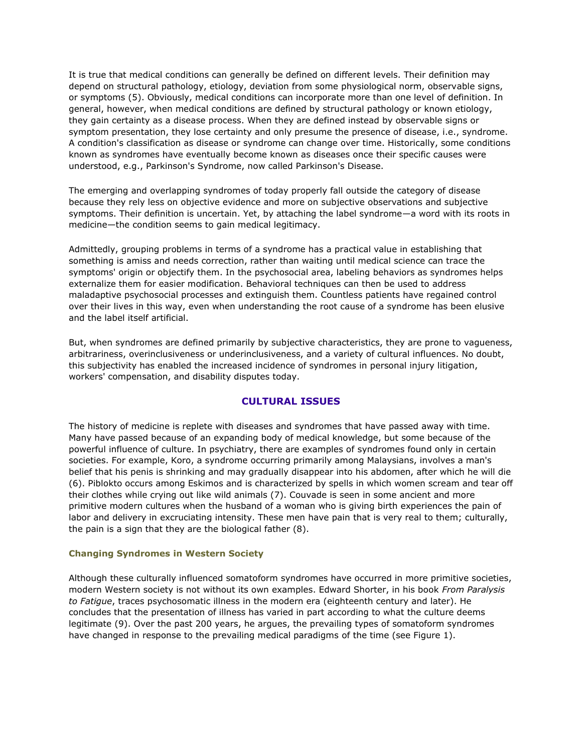It is true that medical conditions can generally be defined on different levels. Their definition may depend on structural pathology, etiology, deviation from some physiological norm, observable signs, or symptoms (5). Obviously, medical conditions can incorporate more than one level of definition. In general, however, when medical conditions are defined by structural pathology or known etiology, they gain certainty as a disease process. When they are defined instead by observable signs or symptom presentation, they lose certainty and only presume the presence of disease, i.e., syndrome. A condition's classification as disease or syndrome can change over time. Historically, some conditions known as syndromes have eventually become known as diseases once their specific causes were understood, e.g., Parkinson's Syndrome, now called Parkinson's Disease.

The emerging and overlapping syndromes of today properly fall outside the category of disease because they rely less on objective evidence and more on subjective observations and subjective symptoms. Their definition is uncertain. Yet, by attaching the label syndrome—a word with its roots in medicine—the condition seems to gain medical legitimacy.

Admittedly, grouping problems in terms of a syndrome has a practical value in establishing that something is amiss and needs correction, rather than waiting until medical science can trace the symptoms' origin or objectify them. In the psychosocial area, labeling behaviors as syndromes helps externalize them for easier modification. Behavioral techniques can then be used to address maladaptive psychosocial processes and extinguish them. Countless patients have regained control over their lives in this way, even when understanding the root cause of a syndrome has been elusive and the label itself artificial.

But, when syndromes are defined primarily by subjective characteristics, they are prone to vagueness, arbitrariness, overinclusiveness or underinclusiveness, and a variety of cultural influences. No doubt, this subjectivity has enabled the increased incidence of syndromes in personal injury litigation, workers' compensation, and disability disputes today.

# **CULTURAL ISSUES**

The history of medicine is replete with diseases and syndromes that have passed away with time. Many have passed because of an expanding body of medical knowledge, but some because of the powerful influence of culture. In psychiatry, there are examples of syndromes found only in certain societies. For example, Koro, a syndrome occurring primarily among Malaysians, involves a man's belief that his penis is shrinking and may gradually disappear into his abdomen, after which he will die (6). Piblokto occurs among Eskimos and is characterized by spells in which women scream and tear off their clothes while crying out like wild animals (7). Couvade is seen in some ancient and more primitive modern cultures when the husband of a woman who is giving birth experiences the pain of labor and delivery in excruciating intensity. These men have pain that is very real to them; culturally, the pain is a sign that they are the biological father (8).

#### **Changing Syndromes in Western Society**

Although these culturally influenced somatoform syndromes have occurred in more primitive societies, modern Western society is not without its own examples. Edward Shorter, in his book *From Paralysis to Fatigue*, traces psychosomatic illness in the modern era (eighteenth century and later). He concludes that the presentation of illness has varied in part according to what the culture deems legitimate (9). Over the past 200 years, he argues, the prevailing types of somatoform syndromes have changed in response to the prevailing medical paradigms of the time (see Figure 1).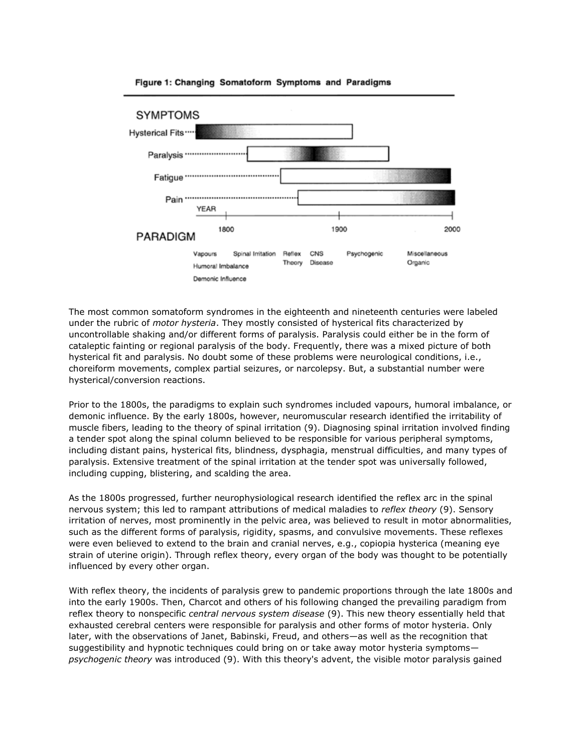

#### Figure 1: Changing Somatoform Symptoms and Paradigms

The most common somatoform syndromes in the eighteenth and nineteenth centuries were labeled under the rubric of *motor hysteria*. They mostly consisted of hysterical fits characterized by uncontrollable shaking and/or different forms of paralysis. Paralysis could either be in the form of cataleptic fainting or regional paralysis of the body. Frequently, there was a mixed picture of both hysterical fit and paralysis. No doubt some of these problems were neurological conditions, i.e., choreiform movements, complex partial seizures, or narcolepsy. But, a substantial number were hysterical/conversion reactions.

Prior to the 1800s, the paradigms to explain such syndromes included vapours, humoral imbalance, or demonic influence. By the early 1800s, however, neuromuscular research identified the irritability of muscle fibers, leading to the theory of spinal irritation (9). Diagnosing spinal irritation involved finding a tender spot along the spinal column believed to be responsible for various peripheral symptoms, including distant pains, hysterical fits, blindness, dysphagia, menstrual difficulties, and many types of paralysis. Extensive treatment of the spinal irritation at the tender spot was universally followed, including cupping, blistering, and scalding the area.

As the 1800s progressed, further neurophysiological research identified the reflex arc in the spinal nervous system; this led to rampant attributions of medical maladies to *reflex theory* (9). Sensory irritation of nerves, most prominently in the pelvic area, was believed to result in motor abnormalities, such as the different forms of paralysis, rigidity, spasms, and convulsive movements. These reflexes were even believed to extend to the brain and cranial nerves, e.g., copiopia hysterica (meaning eye strain of uterine origin). Through reflex theory, every organ of the body was thought to be potentially influenced by every other organ.

With reflex theory, the incidents of paralysis grew to pandemic proportions through the late 1800s and into the early 1900s. Then, Charcot and others of his following changed the prevailing paradigm from reflex theory to nonspecific *central nervous system disease* (9). This new theory essentially held that exhausted cerebral centers were responsible for paralysis and other forms of motor hysteria. Only later, with the observations of Janet, Babinski, Freud, and others—as well as the recognition that suggestibility and hypnotic techniques could bring on or take away motor hysteria symptoms *psychogenic theory* was introduced (9). With this theory's advent, the visible motor paralysis gained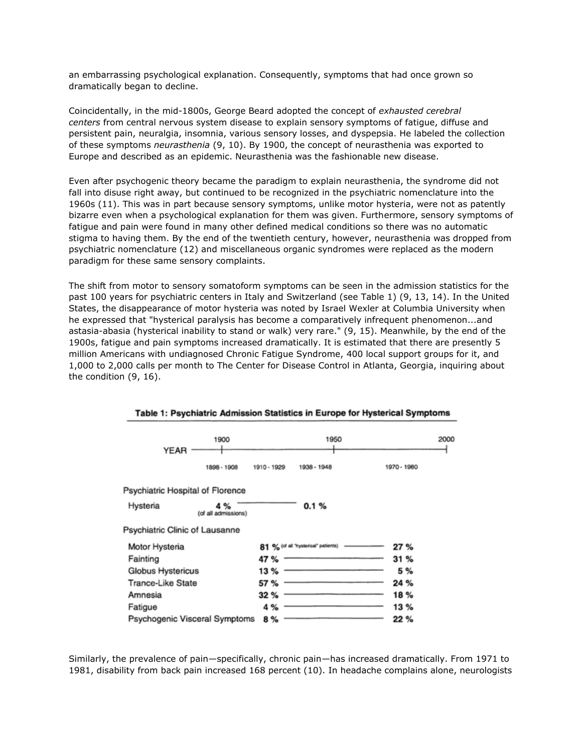an embarrassing psychological explanation. Consequently, symptoms that had once grown so dramatically began to decline.

Coincidentally, in the mid-1800s, George Beard adopted the concept of *exhausted cerebral centers* from central nervous system disease to explain sensory symptoms of fatigue, diffuse and persistent pain, neuralgia, insomnia, various sensory losses, and dyspepsia. He labeled the collection of these symptoms *neurasthenia* (9, 10). By 1900, the concept of neurasthenia was exported to Europe and described as an epidemic. Neurasthenia was the fashionable new disease.

Even after psychogenic theory became the paradigm to explain neurasthenia, the syndrome did not fall into disuse right away, but continued to be recognized in the psychiatric nomenclature into the 1960s (11). This was in part because sensory symptoms, unlike motor hysteria, were not as patently bizarre even when a psychological explanation for them was given. Furthermore, sensory symptoms of fatigue and pain were found in many other defined medical conditions so there was no automatic stigma to having them. By the end of the twentieth century, however, neurasthenia was dropped from psychiatric nomenclature (12) and miscellaneous organic syndromes were replaced as the modern paradigm for these same sensory complaints.

The shift from motor to sensory somatoform symptoms can be seen in the admission statistics for the past 100 years for psychiatric centers in Italy and Switzerland (see Table 1) (9, 13, 14). In the United States, the disappearance of motor hysteria was noted by Israel Wexler at Columbia University when he expressed that "hysterical paralysis has become a comparatively infrequent phenomenon...and astasia-abasia (hysterical inability to stand or walk) very rare." (9, 15). Meanwhile, by the end of the 1900s, fatigue and pain symptoms increased dramatically. It is estimated that there are presently 5 million Americans with undiagnosed Chronic Fatigue Syndrome, 400 local support groups for it, and 1,000 to 2,000 calls per month to The Center for Disease Control in Atlanta, Georgia, inquiring about the condition (9, 16).

| <b>YEAR</b>                      | 1900                       |             | 1950                                |             | 2000 |
|----------------------------------|----------------------------|-------------|-------------------------------------|-------------|------|
|                                  | 1898 - 1908                | 1910 - 1929 | 1938 - 1948                         | 1970 - 1980 |      |
| Psychiatric Hospital of Florence |                            |             |                                     |             |      |
| Hysteria                         | 4 %<br>(of all admissions) |             | 0.1%                                |             |      |
| Psychiatric Clinic of Lausanne   |                            |             |                                     |             |      |
| Motor Hysteria                   |                            |             | 81 % (of all "hysterical" patients) | 27 %        |      |
| Fainting                         |                            | 47 %        |                                     | 31%         |      |
| Globus Hystericus                |                            | 13 %        |                                     | 5 %         |      |
| <b>Trance-Like State</b>         |                            | 57 %        |                                     | 24 %        |      |
| Amnesia                          |                            | 32 %        |                                     | 18%         |      |
| Fatigue                          |                            | 4 %         |                                     | 13%         |      |
| Psychogenic Visceral Symptoms    |                            | 8 %         |                                     | 22 %        |      |

#### Table 1: Psychiatric Admission Statistics in Europe for Hysterical Symptoms

Similarly, the prevalence of pain—specifically, chronic pain—has increased dramatically. From 1971 to 1981, disability from back pain increased 168 percent (10). In headache complains alone, neurologists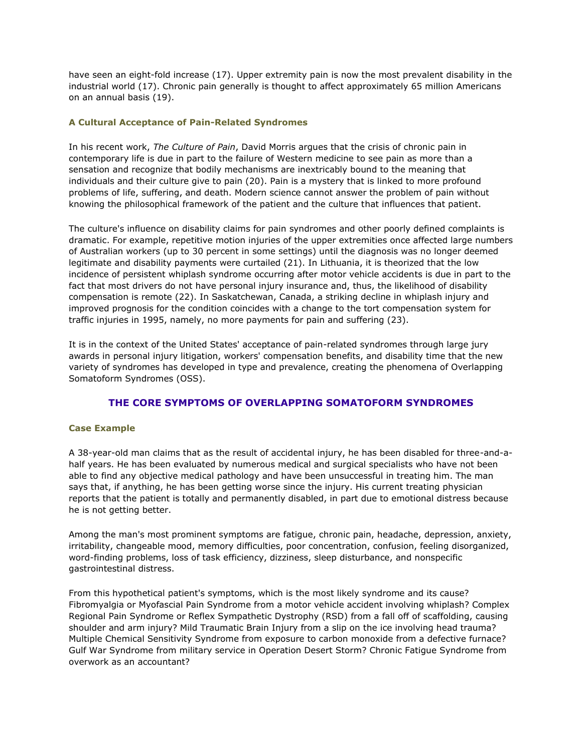have seen an eight-fold increase (17). Upper extremity pain is now the most prevalent disability in the industrial world (17). Chronic pain generally is thought to affect approximately 65 million Americans on an annual basis (19).

# **A Cultural Acceptance of Pain-Related Syndromes**

In his recent work, *The Culture of Pain*, David Morris argues that the crisis of chronic pain in contemporary life is due in part to the failure of Western medicine to see pain as more than a sensation and recognize that bodily mechanisms are inextricably bound to the meaning that individuals and their culture give to pain (20). Pain is a mystery that is linked to more profound problems of life, suffering, and death. Modern science cannot answer the problem of pain without knowing the philosophical framework of the patient and the culture that influences that patient.

The culture's influence on disability claims for pain syndromes and other poorly defined complaints is dramatic. For example, repetitive motion injuries of the upper extremities once affected large numbers of Australian workers (up to 30 percent in some settings) until the diagnosis was no longer deemed legitimate and disability payments were curtailed (21). In Lithuania, it is theorized that the low incidence of persistent whiplash syndrome occurring after motor vehicle accidents is due in part to the fact that most drivers do not have personal injury insurance and, thus, the likelihood of disability compensation is remote (22). In Saskatchewan, Canada, a striking decline in whiplash injury and improved prognosis for the condition coincides with a change to the tort compensation system for traffic injuries in 1995, namely, no more payments for pain and suffering (23).

It is in the context of the United States' acceptance of pain-related syndromes through large jury awards in personal injury litigation, workers' compensation benefits, and disability time that the new variety of syndromes has developed in type and prevalence, creating the phenomena of Overlapping Somatoform Syndromes (OSS).

# **THE CORE SYMPTOMS OF OVERLAPPING SOMATOFORM SYNDROMES**

# **Case Example**

A 38-year-old man claims that as the result of accidental injury, he has been disabled for three-and-ahalf years. He has been evaluated by numerous medical and surgical specialists who have not been able to find any objective medical pathology and have been unsuccessful in treating him. The man says that, if anything, he has been getting worse since the injury. His current treating physician reports that the patient is totally and permanently disabled, in part due to emotional distress because he is not getting better.

Among the man's most prominent symptoms are fatigue, chronic pain, headache, depression, anxiety, irritability, changeable mood, memory difficulties, poor concentration, confusion, feeling disorganized, word-finding problems, loss of task efficiency, dizziness, sleep disturbance, and nonspecific gastrointestinal distress.

From this hypothetical patient's symptoms, which is the most likely syndrome and its cause? Fibromyalgia or Myofascial Pain Syndrome from a motor vehicle accident involving whiplash? Complex Regional Pain Syndrome or Reflex Sympathetic Dystrophy (RSD) from a fall off of scaffolding, causing shoulder and arm injury? Mild Traumatic Brain Injury from a slip on the ice involving head trauma? Multiple Chemical Sensitivity Syndrome from exposure to carbon monoxide from a defective furnace? Gulf War Syndrome from military service in Operation Desert Storm? Chronic Fatigue Syndrome from overwork as an accountant?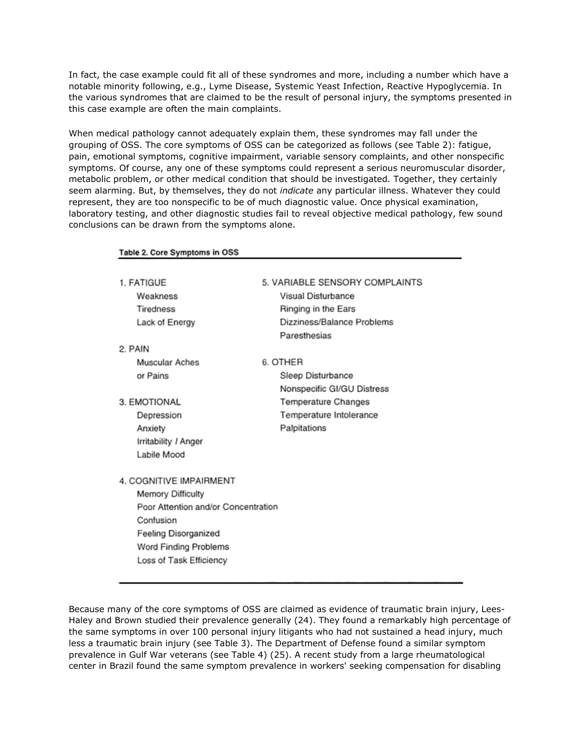In fact, the case example could fit all of these syndromes and more, including a number which have a notable minority following, e.g., Lyme Disease, Systemic Yeast Infection, Reactive Hypoglycemia. In the various syndromes that are claimed to be the result of personal injury, the symptoms presented in this case example are often the main complaints.

When medical pathology cannot adequately explain them, these syndromes may fall under the grouping of OSS. The core symptoms of OSS can be categorized as follows (see Table 2): fatigue, pain, emotional symptoms, cognitive impairment, variable sensory complaints, and other nonspecific symptoms. Of course, any one of these symptoms could represent a serious neuromuscular disorder, metabolic problem, or other medical condition that should be investigated. Together, they certainly seem alarming. But, by themselves, they do not *indicate* any particular illness. Whatever they could represent, they are too nonspecific to be of much diagnostic value. Once physical examination, laboratory testing, and other diagnostic studies fail to reveal objective medical pathology, few sound conclusions can be drawn from the symptoms alone.

Table 2. Core Symptoms in OSS

| 1. FATIGUE                          | 5. VARIABLE SENSORY COMPLAINTS |  |  |
|-------------------------------------|--------------------------------|--|--|
| Weakness                            | Visual Disturbance             |  |  |
| Tiredness                           | Ringing in the Ears            |  |  |
| Lack of Energy                      | Dizziness/Balance Problems     |  |  |
|                                     | Paresthesias                   |  |  |
| 2. PAIN                             |                                |  |  |
| Muscular Aches                      | 6. OTHER                       |  |  |
| or Pains                            | Sleep Disturbance              |  |  |
|                                     | Nonspecific GI/GU Distress     |  |  |
| 3. EMOTIONAL                        | Temperature Changes            |  |  |
| Depression                          | Temperature Intolerance        |  |  |
| Anxiety                             | Palpitations                   |  |  |
| Irritability / Anger                |                                |  |  |
| Labile Mood                         |                                |  |  |
|                                     |                                |  |  |
| 4. COGNITIVE IMPAIRMENT             |                                |  |  |
| <b>Memory Difficulty</b>            |                                |  |  |
| Poor Attention and/or Concentration |                                |  |  |
| Confusion                           |                                |  |  |
| Feeling Disorganized                |                                |  |  |
| Word Finding Problems               |                                |  |  |
| Loss of Task Efficiency             |                                |  |  |
|                                     |                                |  |  |

Because many of the core symptoms of OSS are claimed as evidence of traumatic brain injury, Lees-Haley and Brown studied their prevalence generally (24). They found a remarkably high percentage of the same symptoms in over 100 personal injury litigants who had not sustained a head injury, much less a traumatic brain injury (see Table 3). The Department of Defense found a similar symptom prevalence in Gulf War veterans (see Table 4) (25). A recent study from a large rheumatological center in Brazil found the same symptom prevalence in workers' seeking compensation for disabling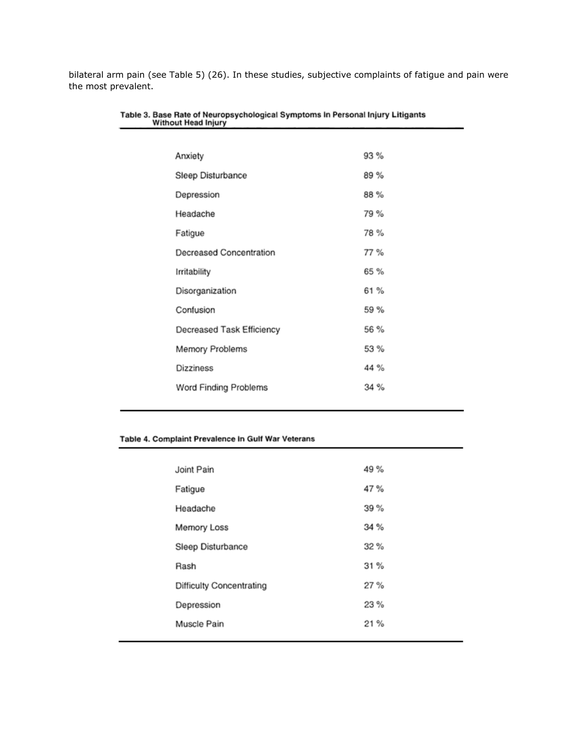bilateral arm pain (see Table 5) (26). In these studies, subjective complaints of fatigue and pain were the most prevalent.

| Anxiety                   | 93 % |
|---------------------------|------|
| Sleep Disturbance         | 89%  |
| Depression                | 88%  |
| Headache                  | 79 % |
| Fatigue                   | 78%  |
| Decreased Concentration   | 77 % |
| Irritability              | 65 % |
| Disorganization           | 61 % |
| Confusion                 | 59 % |
| Decreased Task Efficiency | 56 % |
| Memory Problems           | 53 % |
| Dizziness                 | 44 % |
| Word Finding Problems     | 34%  |
|                           |      |

# Table 3. Base Rate of Neuropsychological Symptoms In Personal Injury Litigants<br>Without Head Injury

# Table 4. Complaint Prevalence In Gulf War Veterans

| Joint Pain                      | 49 % |
|---------------------------------|------|
| Fatigue                         | 47%  |
| Headache                        | 39%  |
| Memory Loss                     | 34 % |
| Sleep Disturbance               | 32%  |
| Rash                            | 31%  |
| <b>Difficulty Concentrating</b> | 27%  |
| Depression                      | 23%  |
| Muscle Pain                     | 21%  |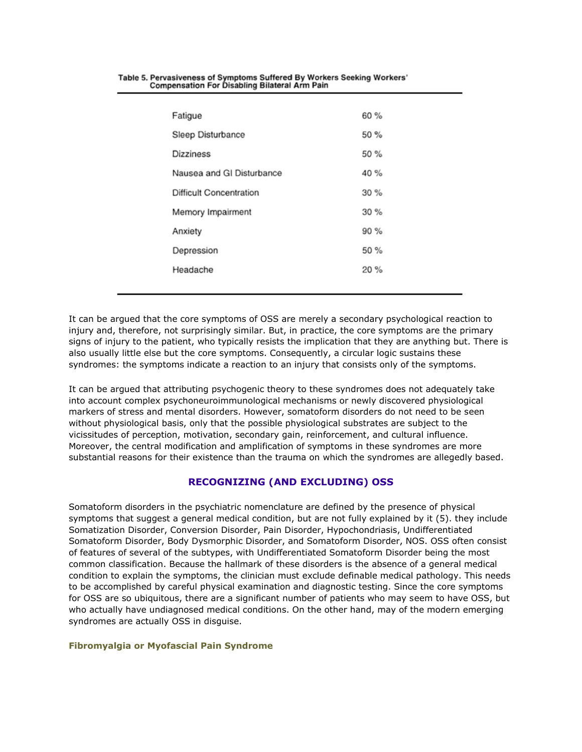| Fatigue                   | 60%  |
|---------------------------|------|
| Sleep Disturbance         | 50 % |
| Dizziness                 | 50 % |
| Nausea and GI Disturbance | 40 % |
| Difficult Concentration   | 30%  |
| Memory Impairment         | 30%  |
| Anxiety                   | 90 % |
| Depression                | 50%  |
| Headache                  | 20%  |
|                           |      |

#### Table 5. Pervasiveness of Symptoms Suffered By Workers Seeking Workers' **Compensation For Disabling Bilateral Arm Pain**

It can be argued that the core symptoms of OSS are merely a secondary psychological reaction to injury and, therefore, not surprisingly similar. But, in practice, the core symptoms are the primary signs of injury to the patient, who typically resists the implication that they are anything but. There is also usually little else but the core symptoms. Consequently, a circular logic sustains these syndromes: the symptoms indicate a reaction to an injury that consists only of the symptoms.

It can be argued that attributing psychogenic theory to these syndromes does not adequately take into account complex psychoneuroimmunological mechanisms or newly discovered physiological markers of stress and mental disorders. However, somatoform disorders do not need to be seen without physiological basis, only that the possible physiological substrates are subject to the vicissitudes of perception, motivation, secondary gain, reinforcement, and cultural influence. Moreover, the central modification and amplification of symptoms in these syndromes are more substantial reasons for their existence than the trauma on which the syndromes are allegedly based.

# **RECOGNIZING (AND EXCLUDING) OSS**

Somatoform disorders in the psychiatric nomenclature are defined by the presence of physical symptoms that suggest a general medical condition, but are not fully explained by it (5). they include Somatization Disorder, Conversion Disorder, Pain Disorder, Hypochondriasis, Undifferentiated Somatoform Disorder, Body Dysmorphic Disorder, and Somatoform Disorder, NOS. OSS often consist of features of several of the subtypes, with Undifferentiated Somatoform Disorder being the most common classification. Because the hallmark of these disorders is the absence of a general medical condition to explain the symptoms, the clinician must exclude definable medical pathology. This needs to be accomplished by careful physical examination and diagnostic testing. Since the core symptoms for OSS are so ubiquitous, there are a significant number of patients who may seem to have OSS, but who actually have undiagnosed medical conditions. On the other hand, may of the modern emerging syndromes are actually OSS in disguise.

# **Fibromyalgia or Myofascial Pain Syndrome**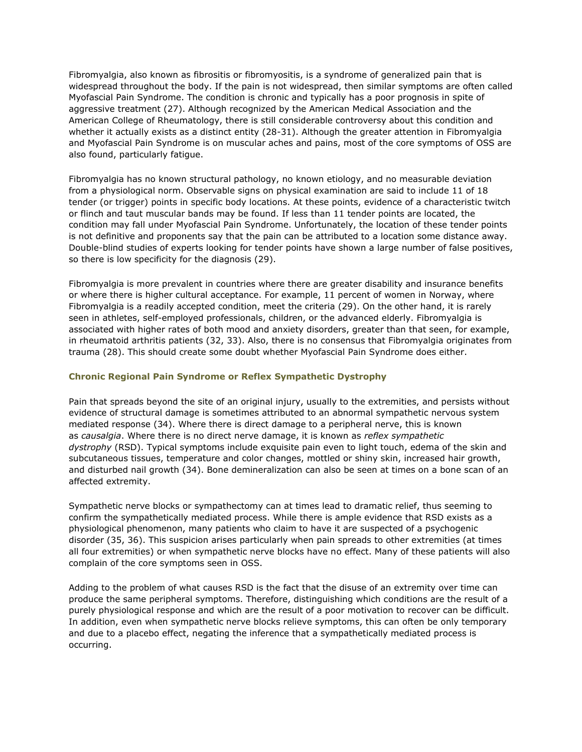Fibromyalgia, also known as fibrositis or fibromyositis, is a syndrome of generalized pain that is widespread throughout the body. If the pain is not widespread, then similar symptoms are often called Myofascial Pain Syndrome. The condition is chronic and typically has a poor prognosis in spite of aggressive treatment (27). Although recognized by the American Medical Association and the American College of Rheumatology, there is still considerable controversy about this condition and whether it actually exists as a distinct entity (28-31). Although the greater attention in Fibromyalgia and Myofascial Pain Syndrome is on muscular aches and pains, most of the core symptoms of OSS are also found, particularly fatigue.

Fibromyalgia has no known structural pathology, no known etiology, and no measurable deviation from a physiological norm. Observable signs on physical examination are said to include 11 of 18 tender (or trigger) points in specific body locations. At these points, evidence of a characteristic twitch or flinch and taut muscular bands may be found. If less than 11 tender points are located, the condition may fall under Myofascial Pain Syndrome. Unfortunately, the location of these tender points is not definitive and proponents say that the pain can be attributed to a location some distance away. Double-blind studies of experts looking for tender points have shown a large number of false positives, so there is low specificity for the diagnosis (29).

Fibromyalgia is more prevalent in countries where there are greater disability and insurance benefits or where there is higher cultural acceptance. For example, 11 percent of women in Norway, where Fibromyalgia is a readily accepted condition, meet the criteria (29). On the other hand, it is rarely seen in athletes, self-employed professionals, children, or the advanced elderly. Fibromyalgia is associated with higher rates of both mood and anxiety disorders, greater than that seen, for example, in rheumatoid arthritis patients (32, 33). Also, there is no consensus that Fibromyalgia originates from trauma (28). This should create some doubt whether Myofascial Pain Syndrome does either.

#### **Chronic Regional Pain Syndrome or Reflex Sympathetic Dystrophy**

Pain that spreads beyond the site of an original injury, usually to the extremities, and persists without evidence of structural damage is sometimes attributed to an abnormal sympathetic nervous system mediated response (34). Where there is direct damage to a peripheral nerve, this is known as *causalgia*. Where there is no direct nerve damage, it is known as *reflex sympathetic dystrophy* (RSD). Typical symptoms include exquisite pain even to light touch, edema of the skin and subcutaneous tissues, temperature and color changes, mottled or shiny skin, increased hair growth, and disturbed nail growth (34). Bone demineralization can also be seen at times on a bone scan of an affected extremity.

Sympathetic nerve blocks or sympathectomy can at times lead to dramatic relief, thus seeming to confirm the sympathetically mediated process. While there is ample evidence that RSD exists as a physiological phenomenon, many patients who claim to have it are suspected of a psychogenic disorder (35, 36). This suspicion arises particularly when pain spreads to other extremities (at times all four extremities) or when sympathetic nerve blocks have no effect. Many of these patients will also complain of the core symptoms seen in OSS.

Adding to the problem of what causes RSD is the fact that the disuse of an extremity over time can produce the same peripheral symptoms. Therefore, distinguishing which conditions are the result of a purely physiological response and which are the result of a poor motivation to recover can be difficult. In addition, even when sympathetic nerve blocks relieve symptoms, this can often be only temporary and due to a placebo effect, negating the inference that a sympathetically mediated process is occurring.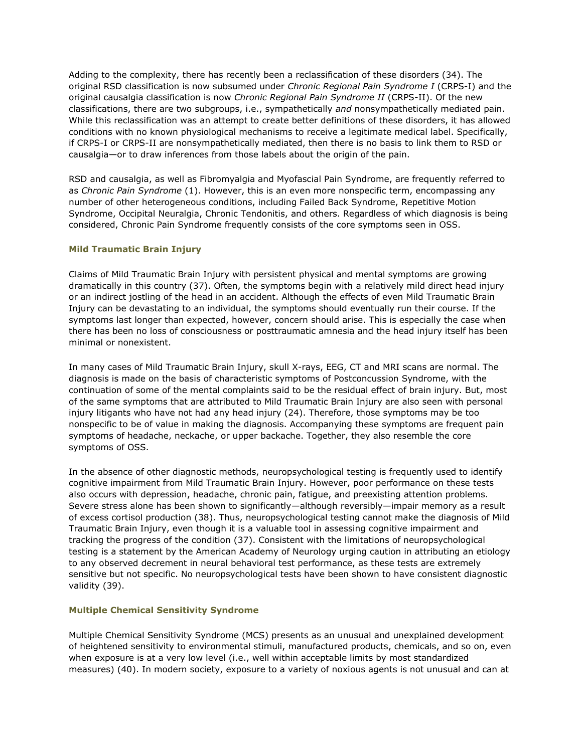Adding to the complexity, there has recently been a reclassification of these disorders (34). The original RSD classification is now subsumed under *Chronic Regional Pain Syndrome I* (CRPS-I) and the original causalgia classification is now *Chronic Regional Pain Syndrome II* (CRPS-II). Of the new classifications, there are two subgroups, i.e., sympathetically *and* nonsympathetically mediated pain. While this reclassification was an attempt to create better definitions of these disorders, it has allowed conditions with no known physiological mechanisms to receive a legitimate medical label. Specifically, if CRPS-I or CRPS-II are nonsympathetically mediated, then there is no basis to link them to RSD or causalgia—or to draw inferences from those labels about the origin of the pain.

RSD and causalgia, as well as Fibromyalgia and Myofascial Pain Syndrome, are frequently referred to as *Chronic Pain Syndrome* (1). However, this is an even more nonspecific term, encompassing any number of other heterogeneous conditions, including Failed Back Syndrome, Repetitive Motion Syndrome, Occipital Neuralgia, Chronic Tendonitis, and others. Regardless of which diagnosis is being considered, Chronic Pain Syndrome frequently consists of the core symptoms seen in OSS.

# **Mild Traumatic Brain Injury**

Claims of Mild Traumatic Brain Injury with persistent physical and mental symptoms are growing dramatically in this country (37). Often, the symptoms begin with a relatively mild direct head injury or an indirect jostling of the head in an accident. Although the effects of even Mild Traumatic Brain Injury can be devastating to an individual, the symptoms should eventually run their course. If the symptoms last longer than expected, however, concern should arise. This is especially the case when there has been no loss of consciousness or posttraumatic amnesia and the head injury itself has been minimal or nonexistent.

In many cases of Mild Traumatic Brain Injury, skull X-rays, EEG, CT and MRI scans are normal. The diagnosis is made on the basis of characteristic symptoms of Postconcussion Syndrome, with the continuation of some of the mental complaints said to be the residual effect of brain injury. But, most of the same symptoms that are attributed to Mild Traumatic Brain Injury are also seen with personal injury litigants who have not had any head injury (24). Therefore, those symptoms may be too nonspecific to be of value in making the diagnosis. Accompanying these symptoms are frequent pain symptoms of headache, neckache, or upper backache. Together, they also resemble the core symptoms of OSS.

In the absence of other diagnostic methods, neuropsychological testing is frequently used to identify cognitive impairment from Mild Traumatic Brain Injury. However, poor performance on these tests also occurs with depression, headache, chronic pain, fatigue, and preexisting attention problems. Severe stress alone has been shown to significantly—although reversibly—impair memory as a result of excess cortisol production (38). Thus, neuropsychological testing cannot make the diagnosis of Mild Traumatic Brain Injury, even though it is a valuable tool in assessing cognitive impairment and tracking the progress of the condition (37). Consistent with the limitations of neuropsychological testing is a statement by the American Academy of Neurology urging caution in attributing an etiology to any observed decrement in neural behavioral test performance, as these tests are extremely sensitive but not specific. No neuropsychological tests have been shown to have consistent diagnostic validity (39).

# **Multiple Chemical Sensitivity Syndrome**

Multiple Chemical Sensitivity Syndrome (MCS) presents as an unusual and unexplained development of heightened sensitivity to environmental stimuli, manufactured products, chemicals, and so on, even when exposure is at a very low level (i.e., well within acceptable limits by most standardized measures) (40). In modern society, exposure to a variety of noxious agents is not unusual and can at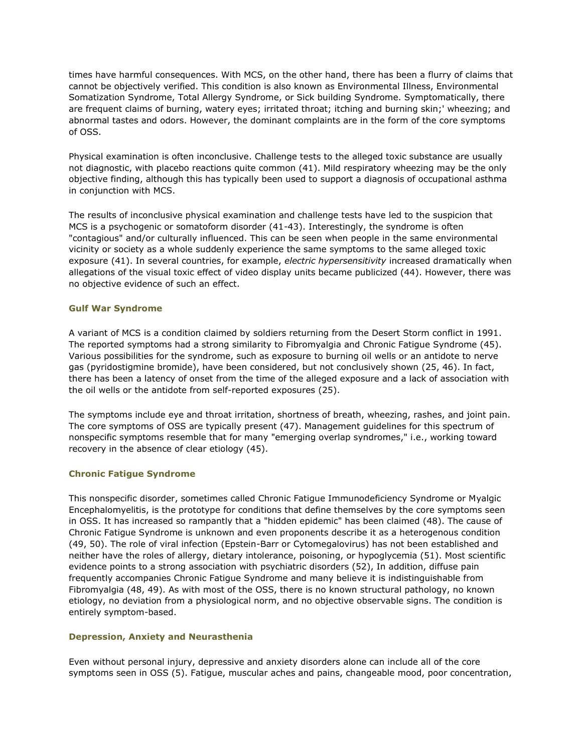times have harmful consequences. With MCS, on the other hand, there has been a flurry of claims that cannot be objectively verified. This condition is also known as Environmental Illness, Environmental Somatization Syndrome, Total Allergy Syndrome, or Sick building Syndrome. Symptomatically, there are frequent claims of burning, watery eyes; irritated throat; itching and burning skin;' wheezing; and abnormal tastes and odors. However, the dominant complaints are in the form of the core symptoms of OSS.

Physical examination is often inconclusive. Challenge tests to the alleged toxic substance are usually not diagnostic, with placebo reactions quite common (41). Mild respiratory wheezing may be the only objective finding, although this has typically been used to support a diagnosis of occupational asthma in conjunction with MCS.

The results of inconclusive physical examination and challenge tests have led to the suspicion that MCS is a psychogenic or somatoform disorder (41-43). Interestingly, the syndrome is often "contagious" and/or culturally influenced. This can be seen when people in the same environmental vicinity or society as a whole suddenly experience the same symptoms to the same alleged toxic exposure (41). In several countries, for example, *electric hypersensitivity* increased dramatically when allegations of the visual toxic effect of video display units became publicized (44). However, there was no objective evidence of such an effect.

# **Gulf War Syndrome**

A variant of MCS is a condition claimed by soldiers returning from the Desert Storm conflict in 1991. The reported symptoms had a strong similarity to Fibromyalgia and Chronic Fatigue Syndrome (45). Various possibilities for the syndrome, such as exposure to burning oil wells or an antidote to nerve gas (pyridostigmine bromide), have been considered, but not conclusively shown (25, 46). In fact, there has been a latency of onset from the time of the alleged exposure and a lack of association with the oil wells or the antidote from self-reported exposures (25).

The symptoms include eye and throat irritation, shortness of breath, wheezing, rashes, and joint pain. The core symptoms of OSS are typically present (47). Management guidelines for this spectrum of nonspecific symptoms resemble that for many "emerging overlap syndromes," i.e., working toward recovery in the absence of clear etiology (45).

# **Chronic Fatigue Syndrome**

This nonspecific disorder, sometimes called Chronic Fatigue Immunodeficiency Syndrome or Myalgic Encephalomyelitis, is the prototype for conditions that define themselves by the core symptoms seen in OSS. It has increased so rampantly that a "hidden epidemic" has been claimed (48). The cause of Chronic Fatigue Syndrome is unknown and even proponents describe it as a heterogenous condition (49, 50). The role of viral infection (Epstein-Barr or Cytomegalovirus) has not been established and neither have the roles of allergy, dietary intolerance, poisoning, or hypoglycemia (51). Most scientific evidence points to a strong association with psychiatric disorders (52), In addition, diffuse pain frequently accompanies Chronic Fatigue Syndrome and many believe it is indistinguishable from Fibromyalgia (48, 49). As with most of the OSS, there is no known structural pathology, no known etiology, no deviation from a physiological norm, and no objective observable signs. The condition is entirely symptom-based.

# **Depression, Anxiety and Neurasthenia**

Even without personal injury, depressive and anxiety disorders alone can include all of the core symptoms seen in OSS (5). Fatigue, muscular aches and pains, changeable mood, poor concentration,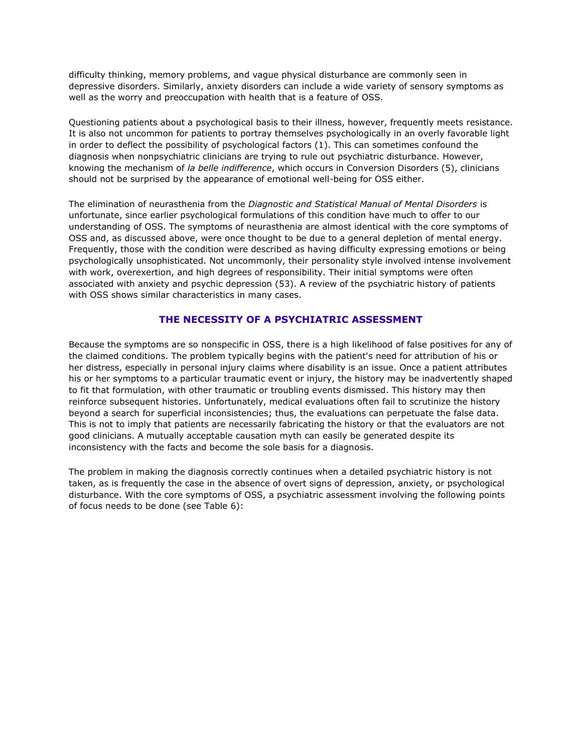difficulty thinking, memory problems, and vague physical disturbance are commonly seen in depressive disorders. Similarly, anxiety disorders can include a wide variety of sensory symptoms as well as the worry and preoccupation with health that is a feature of OSS.

Questioning patients about a psychological basis to their illness, however, frequently meets resistance. It is also not uncommon for patients to portray themselves psychologically in an overly favorable light in order to deflect the possibility of psychological factors (1). This can sometimes confound the diagnosis when nonpsychiatric clinicians are trying to rule out psychiatric disturbance. However, knowing the mechanism of *la belle indifference*, which occurs in Conversion Disorders (5), clinicians should not be surprised by the appearance of emotional well-being for OSS either.

The elimination of neurasthenia from the *Diagnostic and Statistical Manual of Mental Disorders* is unfortunate, since earlier psychological formulations of this condition have much to offer to our understanding of OSS. The symptoms of neurasthenia are almost identical with the core symptoms of OSS and, as discussed above, were once thought to be due to a general depletion of mental energy. Frequently, those with the condition were described as having difficulty expressing emotions or being psychologically unsophisticated. Not uncommonly, their personality style involved intense involvement with work, overexertion, and high degrees of responsibility. Their initial symptoms were often associated with anxiety and psychic depression (53). A review of the psychiatric history of patients with OSS shows similar characteristics in many cases.

# **THE NECESSITY OF A PSYCHIATRIC ASSESSMENT**

Because the symptoms are so nonspecific in OSS, there is a high likelihood of false positives for any of the claimed conditions. The problem typically begins with the patient's need for attribution of his or her distress, especially in personal injury claims where disability is an issue. Once a patient attributes his or her symptoms to a particular traumatic event or injury, the history may be inadvertently shaped to fit that formulation, with other traumatic or troubling events dismissed. This history may then reinforce subsequent histories. Unfortunately, medical evaluations often fail to scrutinize the history beyond a search for superficial inconsistencies; thus, the evaluations can perpetuate the false data. This is not to imply that patients are necessarily fabricating the history or that the evaluators are not good clinicians. A mutually acceptable causation myth can easily be generated despite its inconsistency with the facts and become the sole basis for a diagnosis.

The problem in making the diagnosis correctly continues when a detailed psychiatric history is not taken, as is frequently the case in the absence of overt signs of depression, anxiety, or psychological disturbance. With the core symptoms of OSS, a psychiatric assessment involving the following points of focus needs to be done (see Table 6):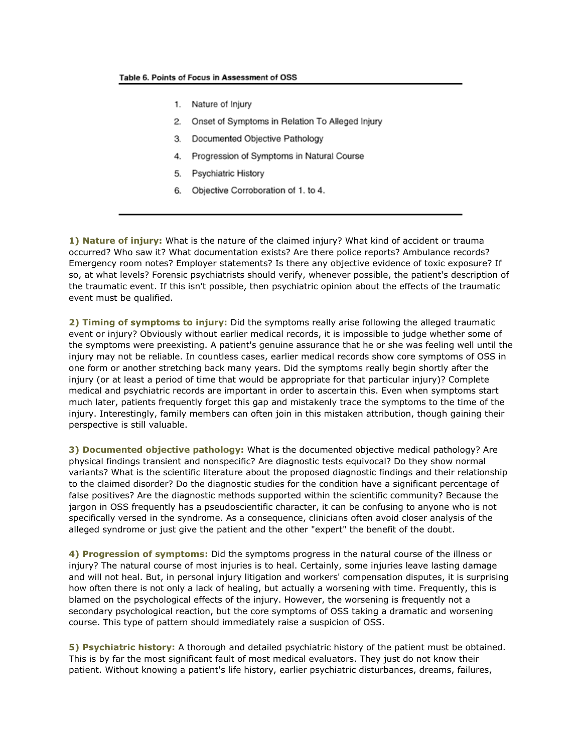- 1. Nature of Injury
- 2. Onset of Symptoms in Relation To Alleged Injury
- 3. Documented Objective Pathology
- 4. Progression of Symptoms in Natural Course
- 5. Psychiatric History
- 6. Objective Corroboration of 1. to 4.

**1) Nature of injury:** What is the nature of the claimed injury? What kind of accident or trauma occurred? Who saw it? What documentation exists? Are there police reports? Ambulance records? Emergency room notes? Employer statements? Is there any objective evidence of toxic exposure? If so, at what levels? Forensic psychiatrists should verify, whenever possible, the patient's description of the traumatic event. If this isn't possible, then psychiatric opinion about the effects of the traumatic event must be qualified.

**2) Timing of symptoms to injury:** Did the symptoms really arise following the alleged traumatic event or injury? Obviously without earlier medical records, it is impossible to judge whether some of the symptoms were preexisting. A patient's genuine assurance that he or she was feeling well until the injury may not be reliable. In countless cases, earlier medical records show core symptoms of OSS in one form or another stretching back many years. Did the symptoms really begin shortly after the injury (or at least a period of time that would be appropriate for that particular injury)? Complete medical and psychiatric records are important in order to ascertain this. Even when symptoms start much later, patients frequently forget this gap and mistakenly trace the symptoms to the time of the injury. Interestingly, family members can often join in this mistaken attribution, though gaining their perspective is still valuable.

**3) Documented objective pathology:** What is the documented objective medical pathology? Are physical findings transient and nonspecific? Are diagnostic tests equivocal? Do they show normal variants? What is the scientific literature about the proposed diagnostic findings and their relationship to the claimed disorder? Do the diagnostic studies for the condition have a significant percentage of false positives? Are the diagnostic methods supported within the scientific community? Because the jargon in OSS frequently has a pseudoscientific character, it can be confusing to anyone who is not specifically versed in the syndrome. As a consequence, clinicians often avoid closer analysis of the alleged syndrome or just give the patient and the other "expert" the benefit of the doubt.

**4) Progression of symptoms:** Did the symptoms progress in the natural course of the illness or injury? The natural course of most injuries is to heal. Certainly, some injuries leave lasting damage and will not heal. But, in personal injury litigation and workers' compensation disputes, it is surprising how often there is not only a lack of healing, but actually a worsening with time. Frequently, this is blamed on the psychological effects of the injury. However, the worsening is frequently not a secondary psychological reaction, but the core symptoms of OSS taking a dramatic and worsening course. This type of pattern should immediately raise a suspicion of OSS.

**5) Psychiatric history:** A thorough and detailed psychiatric history of the patient must be obtained. This is by far the most significant fault of most medical evaluators. They just do not know their patient. Without knowing a patient's life history, earlier psychiatric disturbances, dreams, failures,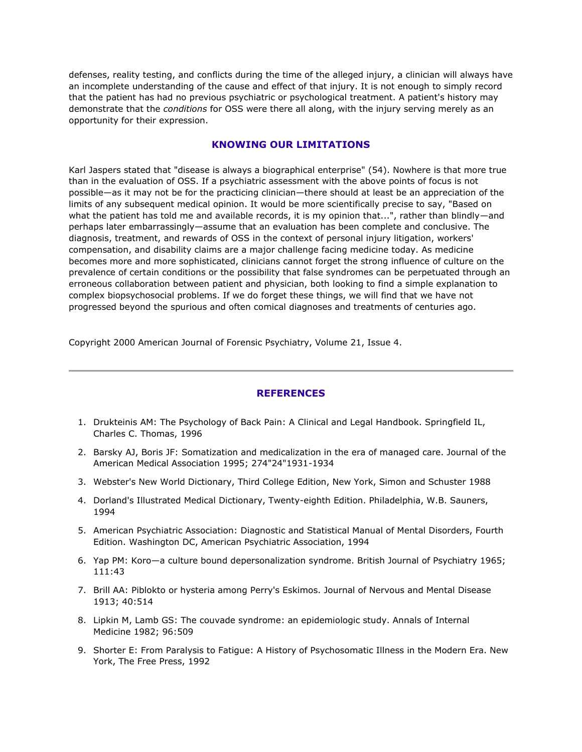defenses, reality testing, and conflicts during the time of the alleged injury, a clinician will always have an incomplete understanding of the cause and effect of that injury. It is not enough to simply record that the patient has had no previous psychiatric or psychological treatment. A patient's history may demonstrate that the *conditions* for OSS were there all along, with the injury serving merely as an opportunity for their expression.

# **KNOWING OUR LIMITATIONS**

Karl Jaspers stated that "disease is always a biographical enterprise" (54). Nowhere is that more true than in the evaluation of OSS. If a psychiatric assessment with the above points of focus is not possible—as it may not be for the practicing clinician—there should at least be an appreciation of the limits of any subsequent medical opinion. It would be more scientifically precise to say, "Based on what the patient has told me and available records, it is my opinion that...", rather than blindly—and perhaps later embarrassingly—assume that an evaluation has been complete and conclusive. The diagnosis, treatment, and rewards of OSS in the context of personal injury litigation, workers' compensation, and disability claims are a major challenge facing medicine today. As medicine becomes more and more sophisticated, clinicians cannot forget the strong influence of culture on the prevalence of certain conditions or the possibility that false syndromes can be perpetuated through an erroneous collaboration between patient and physician, both looking to find a simple explanation to complex biopsychosocial problems. If we do forget these things, we will find that we have not progressed beyond the spurious and often comical diagnoses and treatments of centuries ago.

Copyright 2000 American Journal of Forensic Psychiatry, Volume 21, Issue 4.

# **REFERENCES**

- 1. Drukteinis AM: The Psychology of Back Pain: A Clinical and Legal Handbook. Springfield IL, Charles C. Thomas, 1996
- 2. Barsky AJ, Boris JF: Somatization and medicalization in the era of managed care. Journal of the American Medical Association 1995; 274"24"1931-1934
- 3. Webster's New World Dictionary, Third College Edition, New York, Simon and Schuster 1988
- 4. Dorland's Illustrated Medical Dictionary, Twenty-eighth Edition. Philadelphia, W.B. Sauners, 1994
- 5. American Psychiatric Association: Diagnostic and Statistical Manual of Mental Disorders, Fourth Edition. Washington DC, American Psychiatric Association, 1994
- 6. Yap PM: Koro—a culture bound depersonalization syndrome. British Journal of Psychiatry 1965; 111:43
- 7. Brill AA: Piblokto or hysteria among Perry's Eskimos. Journal of Nervous and Mental Disease 1913; 40:514
- 8. Lipkin M, Lamb GS: The couvade syndrome: an epidemiologic study. Annals of Internal Medicine 1982; 96:509
- 9. Shorter E: From Paralysis to Fatigue: A History of Psychosomatic Illness in the Modern Era. New York, The Free Press, 1992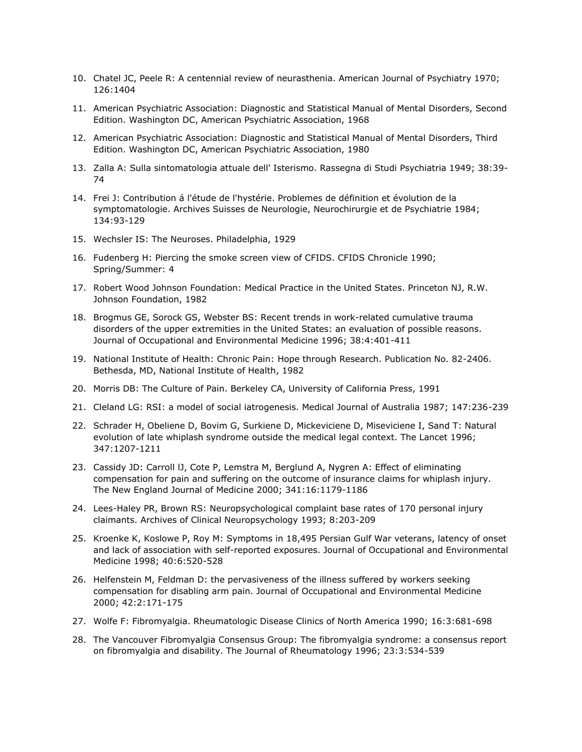- 10. Chatel JC, Peele R: A centennial review of neurasthenia. American Journal of Psychiatry 1970; 126:1404
- 11. American Psychiatric Association: Diagnostic and Statistical Manual of Mental Disorders, Second Edition. Washington DC, American Psychiatric Association, 1968
- 12. American Psychiatric Association: Diagnostic and Statistical Manual of Mental Disorders, Third Edition. Washington DC, American Psychiatric Association, 1980
- 13. Zalla A: Sulla sintomatologia attuale dell' Isterismo. Rassegna di Studi Psychiatria 1949; 38:39- 74
- 14. Frei J: Contribution á l'étude de l'hystérie. Problemes de définition et évolution de la symptomatologie. Archives Suisses de Neurologie, Neurochirurgie et de Psychiatrie 1984; 134:93-129
- 15. Wechsler IS: The Neuroses. Philadelphia, 1929
- 16. Fudenberg H: Piercing the smoke screen view of CFIDS. CFIDS Chronicle 1990; Spring/Summer: 4
- 17. Robert Wood Johnson Foundation: Medical Practice in the United States. Princeton NJ, R.W. Johnson Foundation, 1982
- 18. Brogmus GE, Sorock GS, Webster BS: Recent trends in work-related cumulative trauma disorders of the upper extremities in the United States: an evaluation of possible reasons. Journal of Occupational and Environmental Medicine 1996; 38:4:401-411
- 19. National Institute of Health: Chronic Pain: Hope through Research. Publication No. 82-2406. Bethesda, MD, National Institute of Health, 1982
- 20. Morris DB: The Culture of Pain. Berkeley CA, University of California Press, 1991
- 21. Cleland LG: RSI: a model of social iatrogenesis. Medical Journal of Australia 1987; 147:236-239
- 22. Schrader H, Obeliene D, Bovim G, Surkiene D, Mickeviciene D, Miseviciene I, Sand T: Natural evolution of late whiplash syndrome outside the medical legal context. The Lancet 1996; 347:1207-1211
- 23. Cassidy JD: Carroll lJ, Cote P, Lemstra M, Berglund A, Nygren A: Effect of eliminating compensation for pain and suffering on the outcome of insurance claims for whiplash injury. The New England Journal of Medicine 2000; 341:16:1179-1186
- 24. Lees-Haley PR, Brown RS: Neuropsychological complaint base rates of 170 personal injury claimants. Archives of Clinical Neuropsychology 1993; 8:203-209
- 25. Kroenke K, Koslowe P, Roy M: Symptoms in 18,495 Persian Gulf War veterans, latency of onset and lack of association with self-reported exposures. Journal of Occupational and Environmental Medicine 1998; 40:6:520-528
- 26. Helfenstein M, Feldman D: the pervasiveness of the illness suffered by workers seeking compensation for disabling arm pain. Journal of Occupational and Environmental Medicine 2000; 42:2:171-175
- 27. Wolfe F: Fibromyalgia. Rheumatologic Disease Clinics of North America 1990; 16:3:681-698
- 28. The Vancouver Fibromyalgia Consensus Group: The fibromyalgia syndrome: a consensus report on fibromyalgia and disability. The Journal of Rheumatology 1996; 23:3:534-539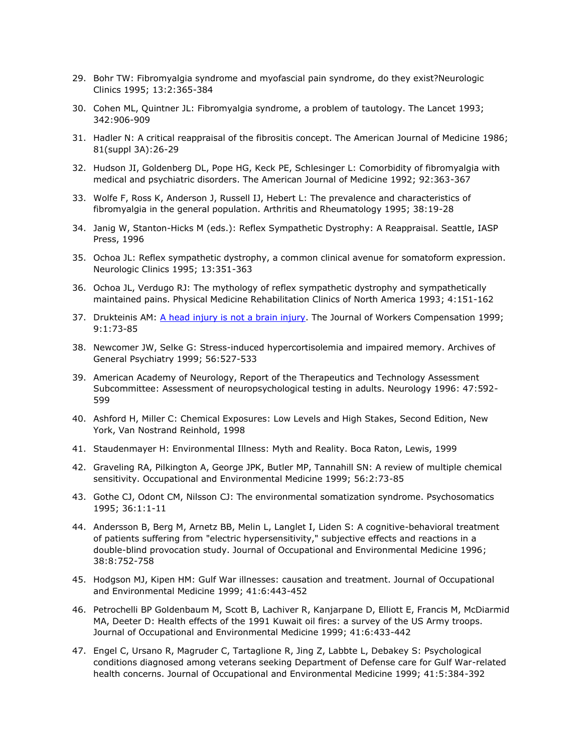- 29. Bohr TW: Fibromyalgia syndrome and myofascial pain syndrome, do they exist?Neurologic Clinics 1995; 13:2:365-384
- 30. Cohen ML, Quintner JL: Fibromyalgia syndrome, a problem of tautology. The Lancet 1993; 342:906-909
- 31. Hadler N: A critical reappraisal of the fibrositis concept. The American Journal of Medicine 1986; 81(suppl 3A):26-29
- 32. Hudson JI, Goldenberg DL, Pope HG, Keck PE, Schlesinger L: Comorbidity of fibromyalgia with medical and psychiatric disorders. The American Journal of Medicine 1992; 92:363-367
- 33. Wolfe F, Ross K, Anderson J, Russell IJ, Hebert L: The prevalence and characteristics of fibromyalgia in the general population. Arthritis and Rheumatology 1995; 38:19-28
- 34. Janig W, Stanton-Hicks M (eds.): Reflex Sympathetic Dystrophy: A Reappraisal. Seattle, IASP Press, 1996
- 35. Ochoa JL: Reflex sympathetic dystrophy, a common clinical avenue for somatoform expression. Neurologic Clinics 1995; 13:351-363
- 36. Ochoa JL, Verdugo RJ: The mythology of reflex sympathetic dystrophy and sympathetically maintained pains. Physical Medicine Rehabilitation Clinics of North America 1993; 4:151-162
- 37. Drukteinis AM: [A head injury is not a brain injury.](http://www.psychlaw.com/LibraryFiles/HeadInjury.html) The Journal of Workers Compensation 1999; 9:1:73-85
- 38. Newcomer JW, Selke G: Stress-induced hypercortisolemia and impaired memory. Archives of General Psychiatry 1999; 56:527-533
- 39. American Academy of Neurology, Report of the Therapeutics and Technology Assessment Subcommittee: Assessment of neuropsychological testing in adults. Neurology 1996: 47:592- 599
- 40. Ashford H, Miller C: Chemical Exposures: Low Levels and High Stakes, Second Edition, New York, Van Nostrand Reinhold, 1998
- 41. Staudenmayer H: Environmental Illness: Myth and Reality. Boca Raton, Lewis, 1999
- 42. Graveling RA, Pilkington A, George JPK, Butler MP, Tannahill SN: A review of multiple chemical sensitivity. Occupational and Environmental Medicine 1999; 56:2:73-85
- 43. Gothe CJ, Odont CM, Nilsson CJ: The environmental somatization syndrome. Psychosomatics 1995; 36:1:1-11
- 44. Andersson B, Berg M, Arnetz BB, Melin L, Langlet I, Liden S: A cognitive-behavioral treatment of patients suffering from "electric hypersensitivity," subjective effects and reactions in a double-blind provocation study. Journal of Occupational and Environmental Medicine 1996; 38:8:752-758
- 45. Hodgson MJ, Kipen HM: Gulf War illnesses: causation and treatment. Journal of Occupational and Environmental Medicine 1999; 41:6:443-452
- 46. Petrochelli BP Goldenbaum M, Scott B, Lachiver R, Kanjarpane D, Elliott E, Francis M, McDiarmid MA, Deeter D: Health effects of the 1991 Kuwait oil fires: a survey of the US Army troops. Journal of Occupational and Environmental Medicine 1999; 41:6:433-442
- 47. Engel C, Ursano R, Magruder C, Tartaglione R, Jing Z, Labbte L, Debakey S: Psychological conditions diagnosed among veterans seeking Department of Defense care for Gulf War-related health concerns. Journal of Occupational and Environmental Medicine 1999; 41:5:384-392